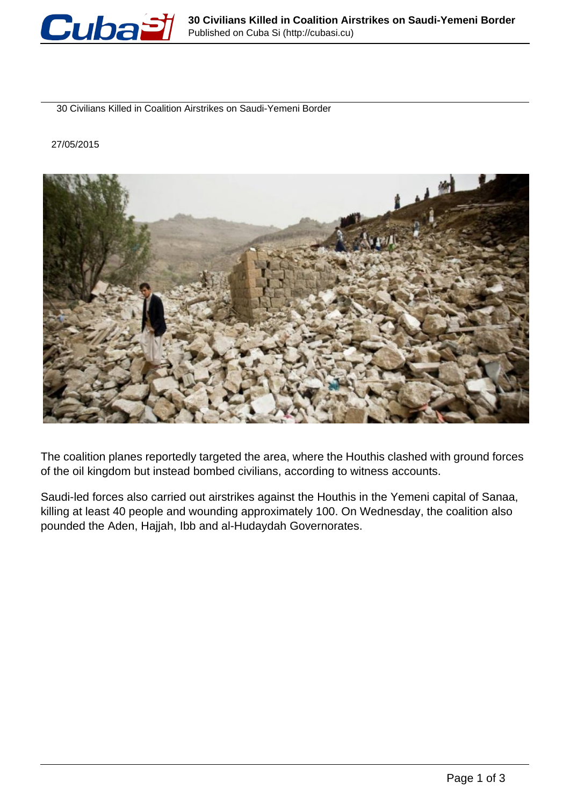

30 Civilians Killed in Coalition Airstrikes on Saudi-Yemeni Border

27/05/2015



The coalition planes reportedly targeted the area, where the Houthis clashed with ground forces of the oil kingdom but instead bombed civilians, according to witness accounts.

Saudi-led forces also carried out airstrikes against the Houthis in the Yemeni capital of Sanaa, killing at least 40 people and wounding approximately 100. On Wednesday, the coalition also pounded the Aden, Hajjah, Ibb and al-Hudaydah Governorates.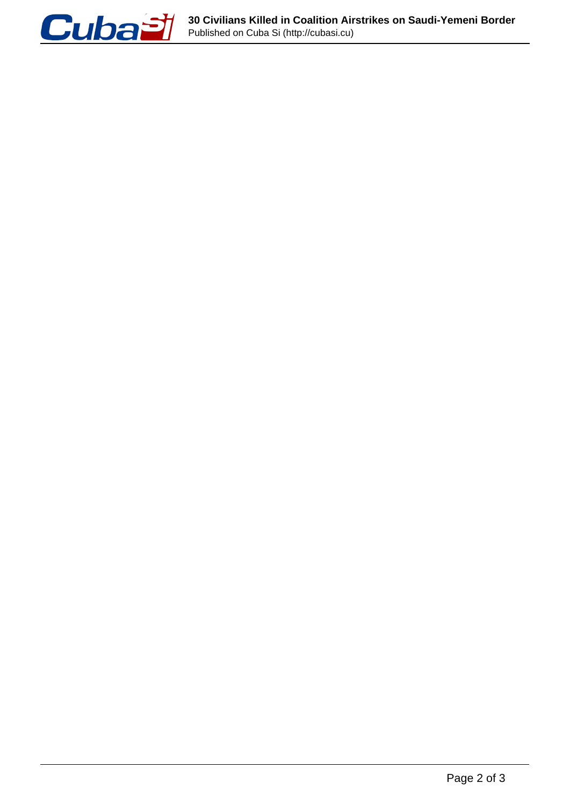